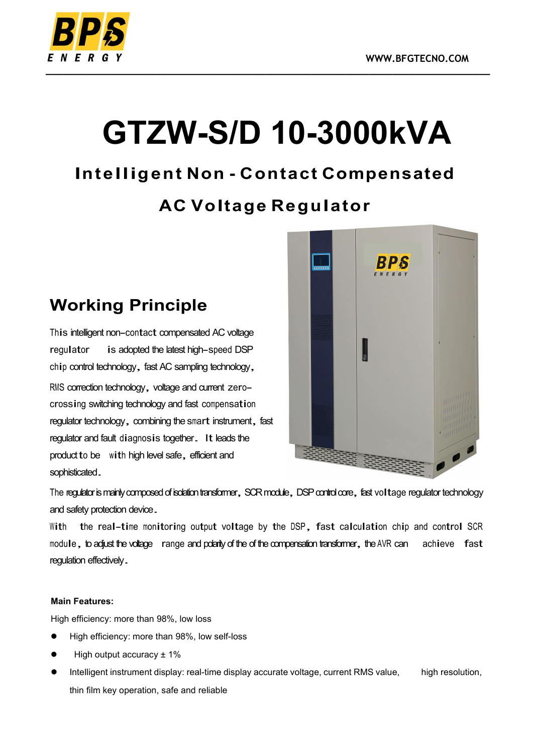

# GTZW-S/D 10-3000kVA

# Intelligent Non - Contact Compensated

# AC Voltage Regulator

# Working Principle

This intelligent non-contact compensated AC voltage regulator is adopted the latest high-speed DSP chip control technology, fast AC sampling technology, RMS correction technology, voltage and current zero- crossing switching technology and fast compensation regulator technology, combining the smart instrument, fast regulator and fault diagnosis together. It leads the product to be with high level safe, efficient and sophisticated.



The regulator is mainly composed of isolation transformer, SCR module, DSP control core, fast voltage regulator technology

and safety protection device.<br>With the real-time monitoring output voltage by the DSP, fast calculation chip and control SCR module, to adjust the voltage range and polarity of the of the compensation transformer, the AVR can achieve fast regulation effectively.

#### Main Features:

High efficiency: more than 98%, low loss

- High efficiency: more than 98%, low self-loss
- High output accuracy ± 1%
- Intelligent instrument display: real-time display accurate voltage, current RMS value, high resolution, thin film key operation, safe and reliable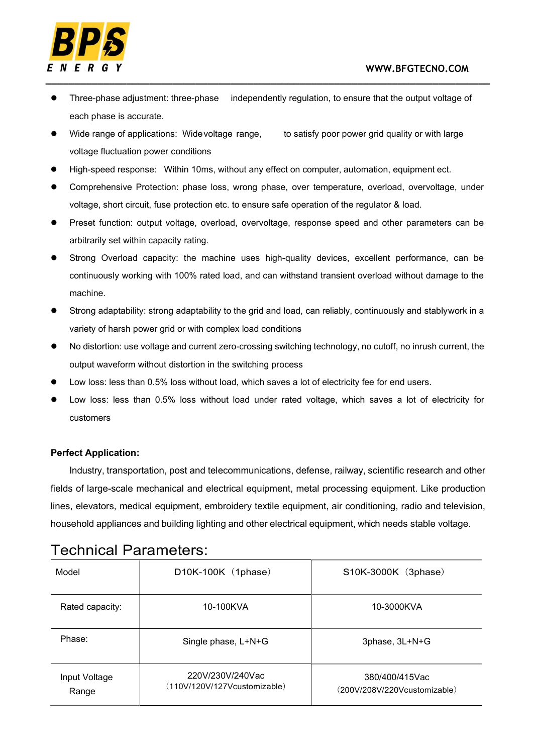

- Three-phase adjustment: three-phase independently regulation, to ensure that the output voltage of each phase is accurate.
- Wide range of applications: Wide voltage range, to satisfy poor power grid quality or with large voltage fluctuation power conditions
- High-speed response: Within 10ms, without any effect on computer, automation, equipment ect.
- Comprehensive Protection: phase loss, wrong phase, over temperature, overload, overvoltage, under voltage, short circuit, fuse protection etc. to ensure safe operation of the regulator & load.
- Preset function: output voltage, overload, overvoltage, response speed and other parameters can be arbitrarily set within capacity rating.
- Strong Overload capacity: the machine uses high-quality devices, excellent performance, can be continuously working with 100% rated load, and can withstand transient overload without damage to the machine.
- Strong adaptability: strong adaptability to the grid and load, can reliably, continuously and stably work in a variety of harsh power grid or with complex load conditions
- No distortion: use voltage and current zero-crossing switching technology, no cutoff, no inrush current, the output waveform without distortion in the switching process
- Low loss: less than 0.5% loss without load, which saves a lot of electricity fee for end users.
- Low loss: less than 0.5% loss without load under rated voltage, which saves a lot of electricity for customers

#### Perfect Application:

Industry, transportation, post and telecommunications, defense, railway, scientific research and other fields of large-scale mechanical and electrical equipment, metal processing equipment. Like production lines, elevators, medical equipment, embroidery textile equipment, air conditioning, radio and television, household appliances and building lighting and other electrical equipment, which needs stable voltage.

### Technical Parameters:

| Model                  | D10K-100K (1phase)                               | S10K-3000K (3phase)                            |
|------------------------|--------------------------------------------------|------------------------------------------------|
| Rated capacity:        | 10-100KVA                                        | 10-3000KVA                                     |
| Phase:                 | Single phase, L+N+G                              | 3phase, 3L+N+G                                 |
| Input Voltage<br>Range | 220V/230V/240Vac<br>(110V/120V/127Vcustomizable) | 380/400/415Vac<br>(200V/208V/220Vcustomizable) |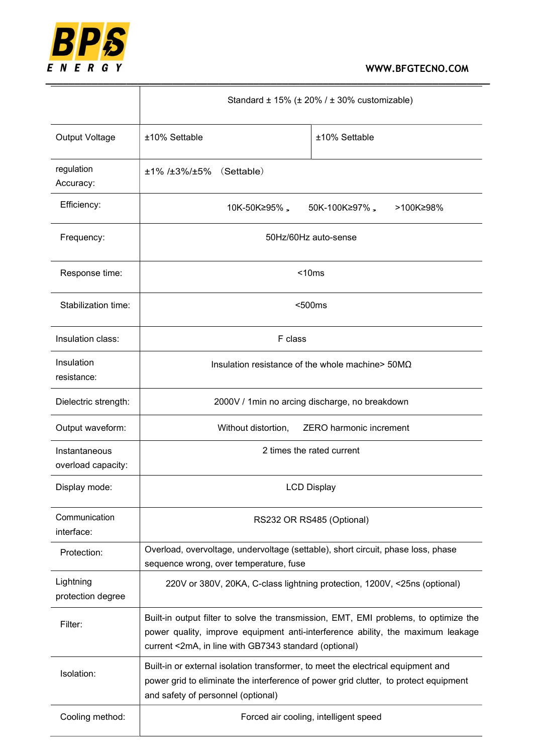

|                                     | Standard ± 15% (± 20% / ± 30% customizable)                                                                                                                                                                                      |                                       |  |  |
|-------------------------------------|----------------------------------------------------------------------------------------------------------------------------------------------------------------------------------------------------------------------------------|---------------------------------------|--|--|
| Output Voltage                      | ±10% Settable                                                                                                                                                                                                                    | ±10% Settable                         |  |  |
| regulation<br>Accuracy:             | ±1% /±3%/±5%<br>(Settable)                                                                                                                                                                                                       |                                       |  |  |
| Efficiency:                         | 10K-50K≥95%,<br>50K-100K≥97%,<br>>100K≥98%                                                                                                                                                                                       |                                       |  |  |
| Frequency:                          | 50Hz/60Hz auto-sense                                                                                                                                                                                                             |                                       |  |  |
| Response time:                      | < 10ms                                                                                                                                                                                                                           |                                       |  |  |
| Stabilization time:                 | $500ms$                                                                                                                                                                                                                          |                                       |  |  |
| Insulation class:                   | F class                                                                                                                                                                                                                          |                                       |  |  |
| Insulation<br>resistance:           | Insulation resistance of the whole machine > $50M\Omega$                                                                                                                                                                         |                                       |  |  |
| Dielectric strength:                | 2000V / 1min no arcing discharge, no breakdown                                                                                                                                                                                   |                                       |  |  |
| Output waveform:                    | ZERO harmonic increment<br>Without distortion,                                                                                                                                                                                   |                                       |  |  |
| Instantaneous<br>overload capacity: | 2 times the rated current                                                                                                                                                                                                        |                                       |  |  |
| Display mode:                       | <b>LCD Display</b>                                                                                                                                                                                                               |                                       |  |  |
| Communication<br>interface:         | RS232 OR RS485 (Optional)                                                                                                                                                                                                        |                                       |  |  |
| Protection:                         | Overload, overvoltage, undervoltage (settable), short circuit, phase loss, phase<br>sequence wrong, over temperature, fuse                                                                                                       |                                       |  |  |
| Lightning<br>protection degree      | 220V or 380V, 20KA, C-class lightning protection, 1200V, <25ns (optional)                                                                                                                                                        |                                       |  |  |
| Filter:                             | Built-in output filter to solve the transmission, EMT, EMI problems, to optimize the<br>power quality, improve equipment anti-interference ability, the maximum leakage<br>current <2mA, in line with GB7343 standard (optional) |                                       |  |  |
| Isolation:                          | Built-in or external isolation transformer, to meet the electrical equipment and<br>power grid to eliminate the interference of power grid clutter, to protect equipment<br>and safety of personnel (optional)                   |                                       |  |  |
| Cooling method:                     |                                                                                                                                                                                                                                  | Forced air cooling, intelligent speed |  |  |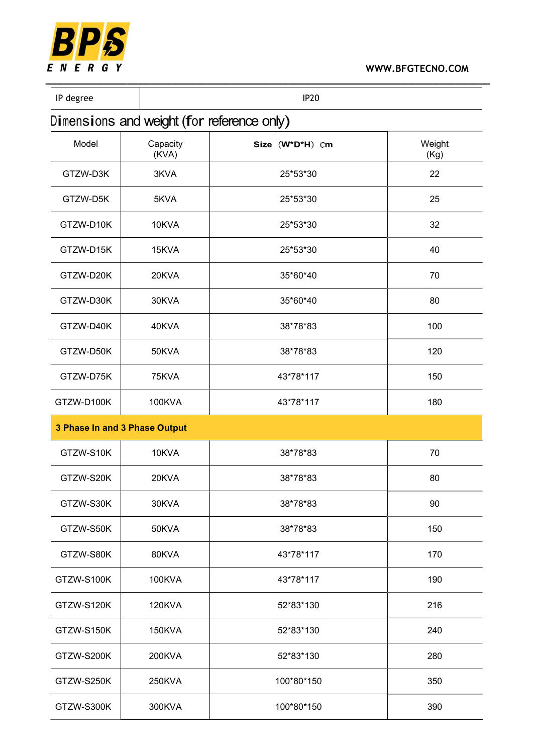

#### WWW.BFGTECNO.COM

IP degree and the set of the set of the set of the set of the set of the set of the set of the set of the set of the set of the set of the set of the set of the set of the set of the set of the set of the set of the set of

## Dimensions and weight (for reference only)

| Model<br>Capacity<br>(KVA) |                               | Size (W*D*H) Cm | Weight     |
|----------------------------|-------------------------------|-----------------|------------|
| GTZW-D3K                   | 3KVA                          | 25*53*30        | (Kg)<br>22 |
| GTZW-D5K                   | 5KVA                          | 25*53*30        | 25         |
| GTZW-D10K                  | 10KVA                         | 25*53*30        | 32         |
| GTZW-D15K                  | 15KVA                         | 25*53*30        | 40         |
| GTZW-D20K                  | 20KVA                         | 35*60*40        | 70         |
| GTZW-D30K                  | 30KVA                         | 35*60*40        | 80         |
| GTZW-D40K                  | 40KVA                         | 38*78*83        | 100        |
| GTZW-D50K                  | 50KVA                         | 38*78*83        | 120        |
| GTZW-D75K                  | 75KVA                         | 43*78*117       | 150        |
| GTZW-D100K                 | 100KVA                        | 43*78*117       | 180        |
|                            | 3 Phase In and 3 Phase Output |                 |            |
| GTZW-S10K                  | 10KVA                         | 38*78*83        | 70         |
| GTZW-S20K                  | 20KVA                         | 38*78*83        | 80         |
| GTZW-S30K                  | 30KVA                         | 38*78*83        | 90         |
| GTZW-S50K                  | 50KVA                         | 38*78*83        | 150        |
| GTZW-S80K                  | 80KVA                         | 43*78*117       | 170        |
| GTZW-S100K                 | <b>100KVA</b>                 | 43*78*117       | 190        |
| GTZW-S120K                 | <b>120KVA</b>                 | 52*83*130       | 216        |
| GTZW-S150K                 | <b>150KVA</b>                 | 52*83*130       | 240        |
| GTZW-S200K                 | 200KVA                        | 52*83*130       | 280        |
| GTZW-S250K                 | 250KVA                        | 100*80*150      | 350        |
| GTZW-S300K                 | 300KVA                        | 100*80*150      | 390        |